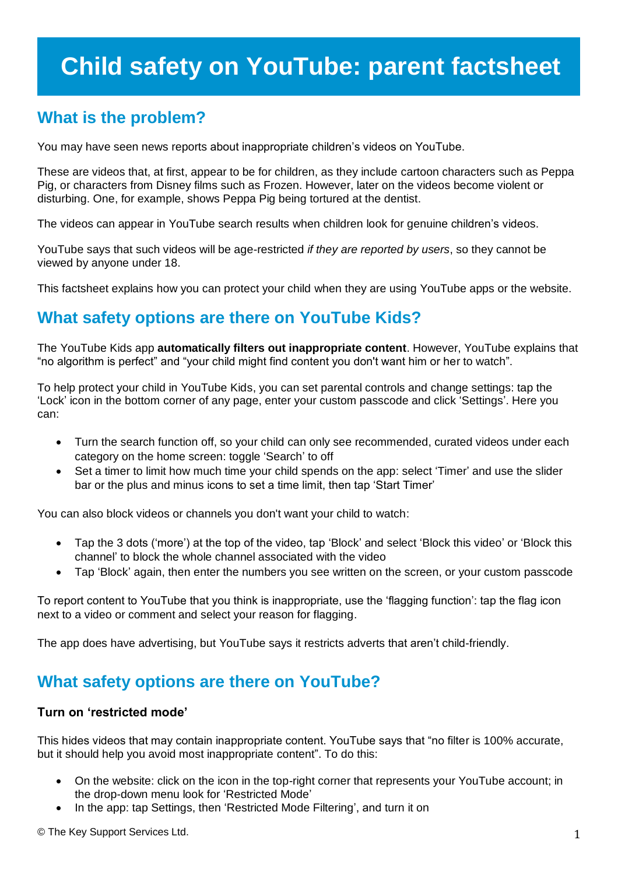# **Child safety on YouTube: parent factsheet**

### **What is the problem?**

You may have seen news reports about inappropriate children"s videos on YouTube.

These are videos that, at first, appear to be for children, as they include cartoon characters such as Peppa Pig, or characters from Disney films such as Frozen. However, later on the videos become violent or disturbing. One, for example, shows Peppa Pig being tortured at the dentist.

The videos can appear in YouTube search results when children look for genuine children"s videos.

YouTube says that such videos will be age-restricted *if they are reported by users*, so they cannot be viewed by anyone under 18.

This factsheet explains how you can protect your child when they are using YouTube apps or the website.

### **What safety options are there on YouTube Kids?**

The YouTube Kids app **automatically filters out inappropriate content**. However, YouTube explains that "no algorithm is perfect" and "your child might find content you don't want him or her to watch".

To help protect your child in YouTube Kids, you can set parental controls and change settings: tap the "Lock" icon in the bottom corner of any page, enter your custom passcode and click "Settings". Here you can:

- Turn the search function off, so your child can only see recommended, curated videos under each category on the home screen: toggle "Search" to off
- Set a timer to limit how much time your child spends on the app: select "Timer" and use the slider bar or the plus and minus icons to set a time limit, then tap "Start Timer"

You can also block videos or channels you don't want your child to watch:

- Tap the 3 dots ('more') at the top of the video, tap 'Block' and select 'Block this video' or 'Block this channel" to block the whole channel associated with the video
- Tap 'Block' again, then enter the numbers you see written on the screen, or your custom passcode

To report content to YouTube that you think is inappropriate, use the "flagging function": tap the flag icon next to a video or comment and select your reason for flagging.

The app does have advertising, but YouTube says it restricts adverts that aren"t child-friendly.

### **What safety options are there on YouTube?**

#### **Turn on 'restricted mode'**

This hides videos that may contain inappropriate content. YouTube says that "no filter is 100% accurate, but it should help you avoid most inappropriate content". To do this:

- On the website: click on the icon in the top-right corner that represents your YouTube account; in the drop-down menu look for "Restricted Mode"
- In the app: tap Settings, then 'Restricted Mode Filtering', and turn it on

© The Key Support Services Ltd. 1